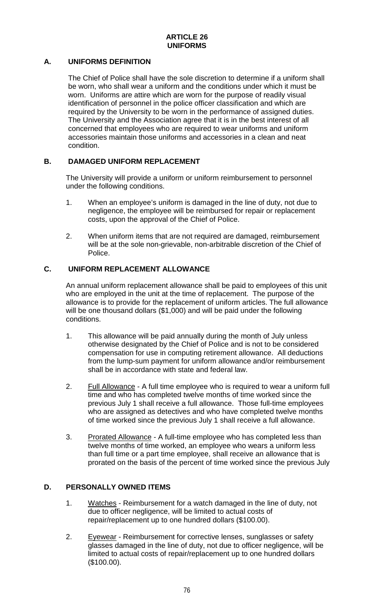## **A. UNIFORMS DEFINITION**

The Chief of Police shall have the sole discretion to determine if a uniform shall be worn, who shall wear a uniform and the conditions under which it must be worn. Uniforms are attire which are worn for the purpose of readily visual identification of personnel in the police officer classification and which are required by the University to be worn in the performance of assigned duties. The University and the Association agree that it is in the best interest of all concerned that employees who are required to wear uniforms and uniform accessories maintain those uniforms and accessories in a clean and neat condition.

## **B. DAMAGED UNIFORM REPLACEMENT**

The University will provide a uniform or uniform reimbursement to personnel under the following conditions.

- 1. When an employee's uniform is damaged in the line of duty, not due to negligence, the employee will be reimbursed for repair or replacement costs, upon the approval of the Chief of Police.
- 2. When uniform items that are not required are damaged, reimbursement will be at the sole non-grievable, non-arbitrable discretion of the Chief of Police.

## **C. UNIFORM REPLACEMENT ALLOWANCE**

An annual uniform replacement allowance shall be paid to employees of this unit who are employed in the unit at the time of replacement. The purpose of the allowance is to provide for the replacement of uniform articles. The full allowance will be one thousand dollars (\$1,000) and will be paid under the following conditions.

- 1. This allowance will be paid annually during the month of July unless otherwise designated by the Chief of Police and is not to be considered compensation for use in computing retirement allowance. All deductions from the lump-sum payment for uniform allowance and/or reimbursement shall be in accordance with state and federal law.
- 2. Full Allowance A full time employee who is required to wear a uniform full time and who has completed twelve months of time worked since the previous July 1 shall receive a full allowance. Those full-time employees who are assigned as detectives and who have completed twelve months of time worked since the previous July 1 shall receive a full allowance.
- 3. Prorated Allowance A full-time employee who has completed less than twelve months of time worked, an employee who wears a uniform less than full time or a part time employee, shall receive an allowance that is prorated on the basis of the percent of time worked since the previous July

## **D. PERSONALLY OWNED ITEMS**

- 1. Watches Reimbursement for a watch damaged in the line of duty, not due to officer negligence, will be limited to actual costs of repair/replacement up to one hundred dollars (\$100.00).
- 2. Eyewear Reimbursement for corrective lenses, sunglasses or safety glasses damaged in the line of duty, not due to officer negligence, will be limited to actual costs of repair/replacement up to one hundred dollars (\$100.00).